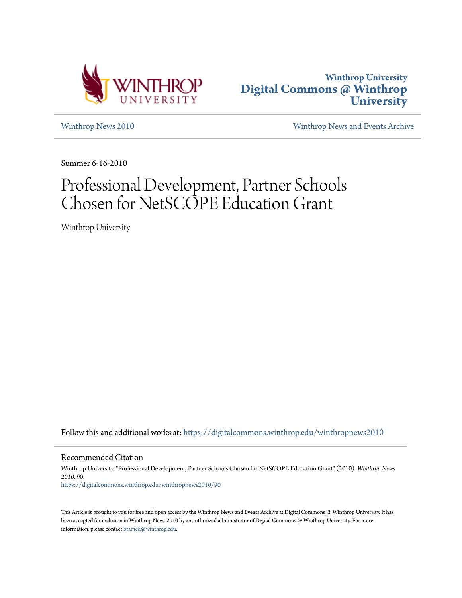



[Winthrop News 2010](https://digitalcommons.winthrop.edu/winthropnews2010?utm_source=digitalcommons.winthrop.edu%2Fwinthropnews2010%2F90&utm_medium=PDF&utm_campaign=PDFCoverPages) [Winthrop News and Events Archive](https://digitalcommons.winthrop.edu/winthropnewsarchives?utm_source=digitalcommons.winthrop.edu%2Fwinthropnews2010%2F90&utm_medium=PDF&utm_campaign=PDFCoverPages)

Summer 6-16-2010

# Professional Development, Partner Schools Chosen for NetSCOPE Education Grant

Winthrop University

Follow this and additional works at: [https://digitalcommons.winthrop.edu/winthropnews2010](https://digitalcommons.winthrop.edu/winthropnews2010?utm_source=digitalcommons.winthrop.edu%2Fwinthropnews2010%2F90&utm_medium=PDF&utm_campaign=PDFCoverPages)

Recommended Citation

Winthrop University, "Professional Development, Partner Schools Chosen for NetSCOPE Education Grant" (2010). *Winthrop News 2010*. 90. [https://digitalcommons.winthrop.edu/winthropnews2010/90](https://digitalcommons.winthrop.edu/winthropnews2010/90?utm_source=digitalcommons.winthrop.edu%2Fwinthropnews2010%2F90&utm_medium=PDF&utm_campaign=PDFCoverPages)

This Article is brought to you for free and open access by the Winthrop News and Events Archive at Digital Commons @ Winthrop University. It has been accepted for inclusion in Winthrop News 2010 by an authorized administrator of Digital Commons @ Winthrop University. For more information, please contact [bramed@winthrop.edu](mailto:bramed@winthrop.edu).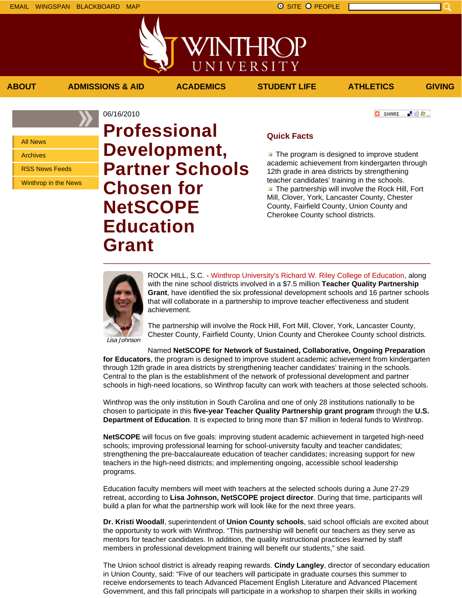上没有。

**C** SHARE

All News

Archives

RSS News Feeds

Winthrop in the News

06/16/2010 **Professional Development, Partner Schools Chosen for NetSCOPE Education Grant**

## **Quick Facts**

**ABOUT ADMISSIONS & AID ACADEMICS STUDENT LIFE ATHLETICS GIVING**

WINTHROP

UNIVERSITY

 $\blacksquare$  The program is designed to improve student academic achievement from kindergarten through 12th grade in area districts by strengthening teacher candidates' training in the schools.  $\blacksquare$  The partnership will involve the Rock Hill, Fort Mill, Clover, York, Lancaster County, Chester County, Fairfield County, Union County and Cherokee County school districts.



ROCK HILL, S.C. - Winthrop University's Richard W. Riley College of Education, along with the nine school districts involved in a \$7.5 million **Teacher Quality Partnership Grant**, have identified the six professional development schools and 16 partner schools that will collaborate in a partnership to improve teacher effectiveness and student achievement.

The partnership will involve the Rock Hill, Fort Mill, Clover, York, Lancaster County, Chester County, Fairfield County, Union County and Cherokee County school districts.

Lisa Johnson

Named **NetSCOPE for Network of Sustained, Collaborative, Ongoing Preparation for Educators**, the program is designed to improve student academic achievement from kindergarten through 12th grade in area districts by strengthening teacher candidates' training in the schools. Central to the plan is the establishment of the network of professional development and partner schools in high-need locations, so Winthrop faculty can work with teachers at those selected schools.

Winthrop was the only institution in South Carolina and one of only 28 institutions nationally to be chosen to participate in this **five-year Teacher Quality Partnership grant program** through the **U.S. Department of Education**. It is expected to bring more than \$7 million in federal funds to Winthrop.

**NetSCOPE** will focus on five goals: improving student academic achievement in targeted high-need schools; improving professional learning for school-university faculty and teacher candidates; strengthening the pre-baccalaureate education of teacher candidates; increasing support for new teachers in the high-need districts; and implementing ongoing, accessible school leadership programs.

Education faculty members will meet with teachers at the selected schools during a June 27-29 retreat, according to **Lisa Johnson, NetSCOPE project director**. During that time, participants will build a plan for what the partnership work will look like for the next three years.

**Dr. Kristi Woodall**, superintendent of **Union County schools**, said school officials are excited about the opportunity to work with Winthrop. "This partnership will benefit our teachers as they serve as mentors for teacher candidates. In addition, the quality instructional practices learned by staff members in professional development training will benefit our students," she said.

The Union school district is already reaping rewards. **Cindy Langley**, director of secondary education in Union County, said: "Five of our teachers will participate in graduate courses this summer to receive endorsements to teach Advanced Placement English Literature and Advanced Placement Government, and this fall principals will participate in a workshop to sharpen their skills in working